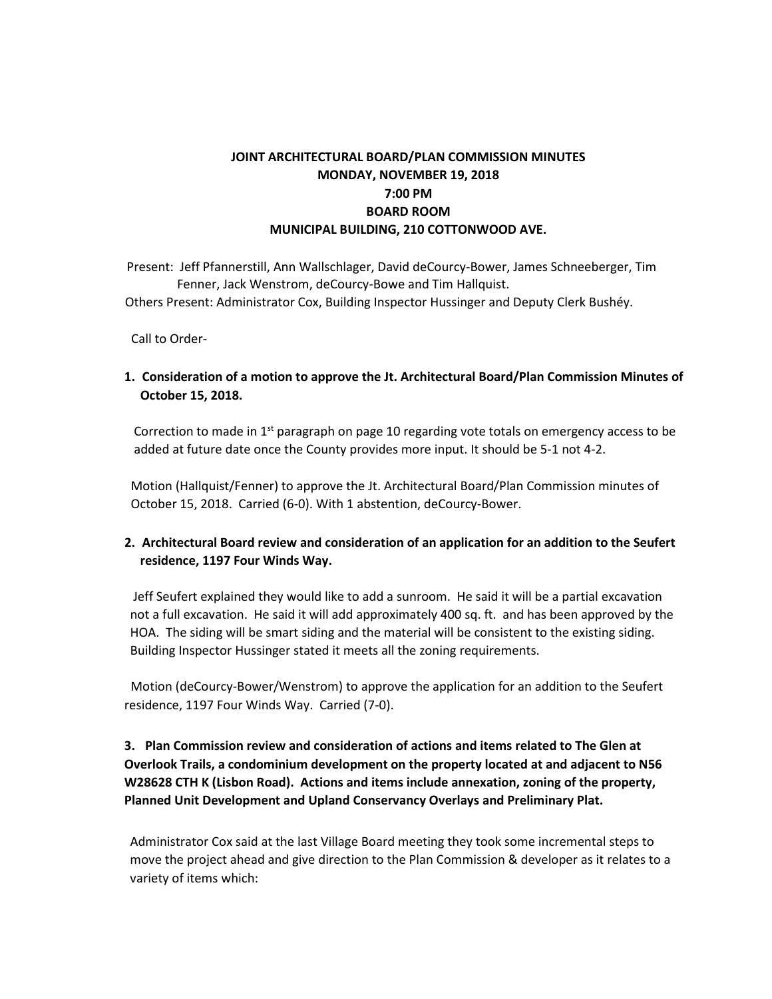# **JOINT ARCHITECTURAL BOARD/PLAN COMMISSION MINUTES MONDAY, NOVEMBER 19, 2018 7:00 PM BOARD ROOM MUNICIPAL BUILDING, 210 COTTONWOOD AVE.**

Present: Jeff Pfannerstill, Ann Wallschlager, David deCourcy-Bower, James Schneeberger, Tim Fenner, Jack Wenstrom, deCourcy-Bowe and Tim Hallquist. Others Present: Administrator Cox, Building Inspector Hussinger and Deputy Clerk Bushéy.

Call to Order-

**1. Consideration of a motion to approve the Jt. Architectural Board/Plan Commission Minutes of October 15, 2018.**

Correction to made in 1st paragraph on page 10 regarding vote totals on emergency access to be added at future date once the County provides more input. It should be 5-1 not 4-2.

Motion (Hallquist/Fenner) to approve the Jt. Architectural Board/Plan Commission minutes of October 15, 2018. Carried (6-0). With 1 abstention, deCourcy-Bower.

### **2. Architectural Board review and consideration of an application for an addition to the Seufert residence, 1197 Four Winds Way.**

Jeff Seufert explained they would like to add a sunroom. He said it will be a partial excavation not a full excavation. He said it will add approximately 400 sq. ft. and has been approved by the HOA. The siding will be smart siding and the material will be consistent to the existing siding. Building Inspector Hussinger stated it meets all the zoning requirements.

 Motion (deCourcy-Bower/Wenstrom) to approve the application for an addition to the Seufert residence, 1197 Four Winds Way. Carried (7-0).

## **3. Plan Commission review and consideration of actions and items related to The Glen at Overlook Trails, a condominium development on the property located at and adjacent to N56 W28628 CTH K (Lisbon Road). Actions and items include annexation, zoning of the property, Planned Unit Development and Upland Conservancy Overlays and Preliminary Plat.**

Administrator Cox said at the last Village Board meeting they took some incremental steps to move the project ahead and give direction to the Plan Commission & developer as it relates to a variety of items which: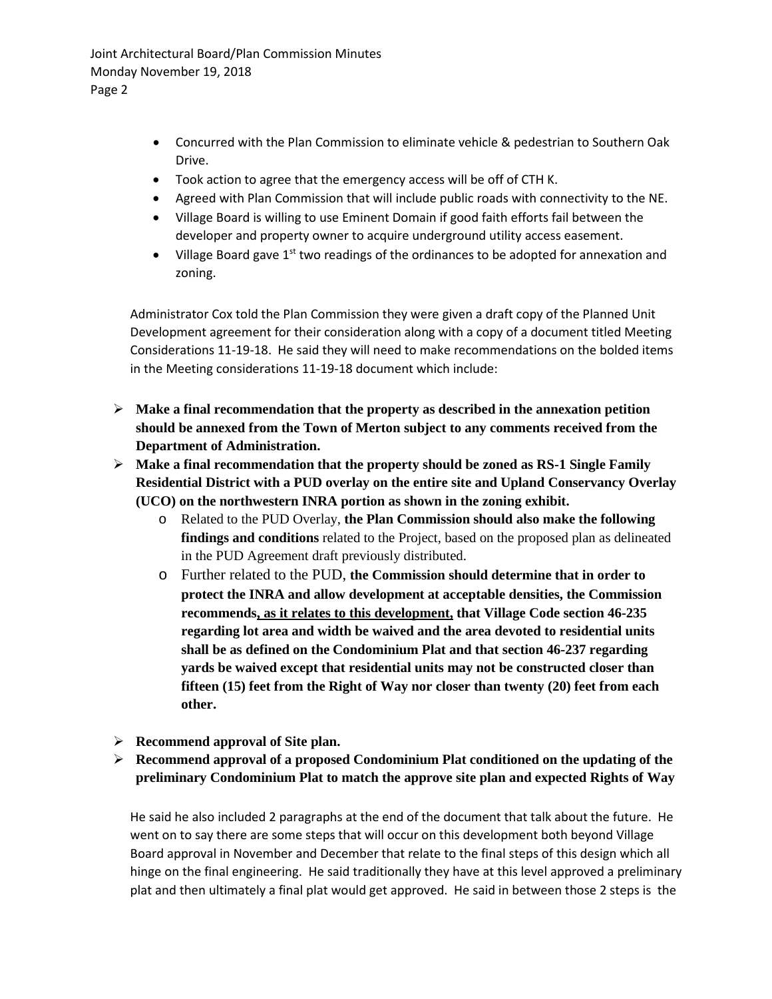Joint Architectural Board/Plan Commission Minutes Monday November 19, 2018 Page 2

- Concurred with the Plan Commission to eliminate vehicle & pedestrian to Southern Oak Drive.
- Took action to agree that the emergency access will be off of CTH K.
- Agreed with Plan Commission that will include public roads with connectivity to the NE.
- Village Board is willing to use Eminent Domain if good faith efforts fail between the developer and property owner to acquire underground utility access easement.
- Village Board gave  $1^{st}$  two readings of the ordinances to be adopted for annexation and zoning.

Administrator Cox told the Plan Commission they were given a draft copy of the Planned Unit Development agreement for their consideration along with a copy of a document titled Meeting Considerations 11-19-18. He said they will need to make recommendations on the bolded items in the Meeting considerations 11-19-18 document which include:

- **Make a final recommendation that the property as described in the annexation petition should be annexed from the Town of Merton subject to any comments received from the Department of Administration.**
- **Make a final recommendation that the property should be zoned as RS-1 Single Family Residential District with a PUD overlay on the entire site and Upland Conservancy Overlay (UCO) on the northwestern INRA portion as shown in the zoning exhibit.**
	- o Related to the PUD Overlay, **the Plan Commission should also make the following findings and conditions** related to the Project, based on the proposed plan as delineated in the PUD Agreement draft previously distributed.
	- o Further related to the PUD, **the Commission should determine that in order to protect the INRA and allow development at acceptable densities, the Commission recommends, as it relates to this development, that Village Code section 46-235 regarding lot area and width be waived and the area devoted to residential units shall be as defined on the Condominium Plat and that section 46-237 regarding yards be waived except that residential units may not be constructed closer than fifteen (15) feet from the Right of Way nor closer than twenty (20) feet from each other.**
- **Recommend approval of Site plan.**
- **Recommend approval of a proposed Condominium Plat conditioned on the updating of the preliminary Condominium Plat to match the approve site plan and expected Rights of Way**

He said he also included 2 paragraphs at the end of the document that talk about the future. He went on to say there are some steps that will occur on this development both beyond Village Board approval in November and December that relate to the final steps of this design which all hinge on the final engineering. He said traditionally they have at this level approved a preliminary plat and then ultimately a final plat would get approved. He said in between those 2 steps is the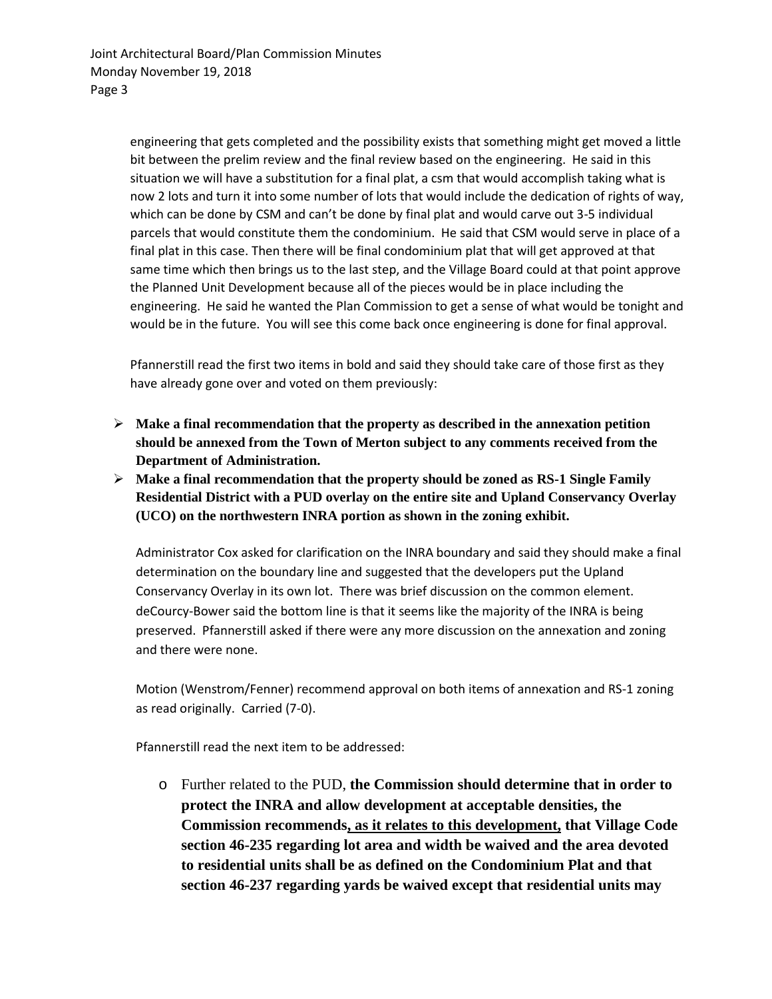engineering that gets completed and the possibility exists that something might get moved a little bit between the prelim review and the final review based on the engineering. He said in this situation we will have a substitution for a final plat, a csm that would accomplish taking what is now 2 lots and turn it into some number of lots that would include the dedication of rights of way, which can be done by CSM and can't be done by final plat and would carve out 3-5 individual parcels that would constitute them the condominium. He said that CSM would serve in place of a final plat in this case. Then there will be final condominium plat that will get approved at that same time which then brings us to the last step, and the Village Board could at that point approve the Planned Unit Development because all of the pieces would be in place including the engineering. He said he wanted the Plan Commission to get a sense of what would be tonight and would be in the future. You will see this come back once engineering is done for final approval.

Pfannerstill read the first two items in bold and said they should take care of those first as they have already gone over and voted on them previously:

- **Make a final recommendation that the property as described in the annexation petition should be annexed from the Town of Merton subject to any comments received from the Department of Administration.**
- **Make a final recommendation that the property should be zoned as RS-1 Single Family Residential District with a PUD overlay on the entire site and Upland Conservancy Overlay (UCO) on the northwestern INRA portion as shown in the zoning exhibit.**

Administrator Cox asked for clarification on the INRA boundary and said they should make a final determination on the boundary line and suggested that the developers put the Upland Conservancy Overlay in its own lot. There was brief discussion on the common element. deCourcy-Bower said the bottom line is that it seems like the majority of the INRA is being preserved. Pfannerstill asked if there were any more discussion on the annexation and zoning and there were none.

Motion (Wenstrom/Fenner) recommend approval on both items of annexation and RS-1 zoning as read originally. Carried (7-0).

Pfannerstill read the next item to be addressed:

o Further related to the PUD, **the Commission should determine that in order to protect the INRA and allow development at acceptable densities, the Commission recommends, as it relates to this development, that Village Code section 46-235 regarding lot area and width be waived and the area devoted to residential units shall be as defined on the Condominium Plat and that section 46-237 regarding yards be waived except that residential units may**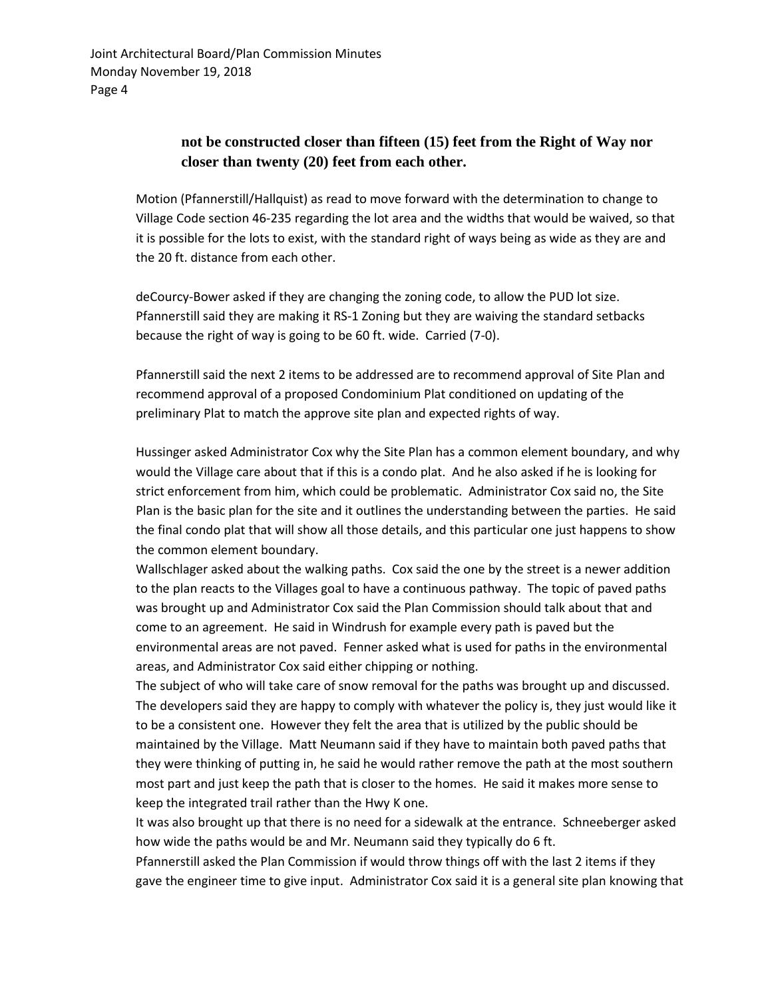# **not be constructed closer than fifteen (15) feet from the Right of Way nor closer than twenty (20) feet from each other.**

Motion (Pfannerstill/Hallquist) as read to move forward with the determination to change to Village Code section 46-235 regarding the lot area and the widths that would be waived, so that it is possible for the lots to exist, with the standard right of ways being as wide as they are and the 20 ft. distance from each other.

deCourcy-Bower asked if they are changing the zoning code, to allow the PUD lot size. Pfannerstill said they are making it RS-1 Zoning but they are waiving the standard setbacks because the right of way is going to be 60 ft. wide. Carried (7-0).

Pfannerstill said the next 2 items to be addressed are to recommend approval of Site Plan and recommend approval of a proposed Condominium Plat conditioned on updating of the preliminary Plat to match the approve site plan and expected rights of way.

Hussinger asked Administrator Cox why the Site Plan has a common element boundary, and why would the Village care about that if this is a condo plat. And he also asked if he is looking for strict enforcement from him, which could be problematic. Administrator Cox said no, the Site Plan is the basic plan for the site and it outlines the understanding between the parties. He said the final condo plat that will show all those details, and this particular one just happens to show the common element boundary.

Wallschlager asked about the walking paths. Cox said the one by the street is a newer addition to the plan reacts to the Villages goal to have a continuous pathway. The topic of paved paths was brought up and Administrator Cox said the Plan Commission should talk about that and come to an agreement. He said in Windrush for example every path is paved but the environmental areas are not paved. Fenner asked what is used for paths in the environmental areas, and Administrator Cox said either chipping or nothing.

The subject of who will take care of snow removal for the paths was brought up and discussed. The developers said they are happy to comply with whatever the policy is, they just would like it to be a consistent one. However they felt the area that is utilized by the public should be maintained by the Village. Matt Neumann said if they have to maintain both paved paths that they were thinking of putting in, he said he would rather remove the path at the most southern most part and just keep the path that is closer to the homes. He said it makes more sense to keep the integrated trail rather than the Hwy K one.

It was also brought up that there is no need for a sidewalk at the entrance. Schneeberger asked how wide the paths would be and Mr. Neumann said they typically do 6 ft.

Pfannerstill asked the Plan Commission if would throw things off with the last 2 items if they gave the engineer time to give input. Administrator Cox said it is a general site plan knowing that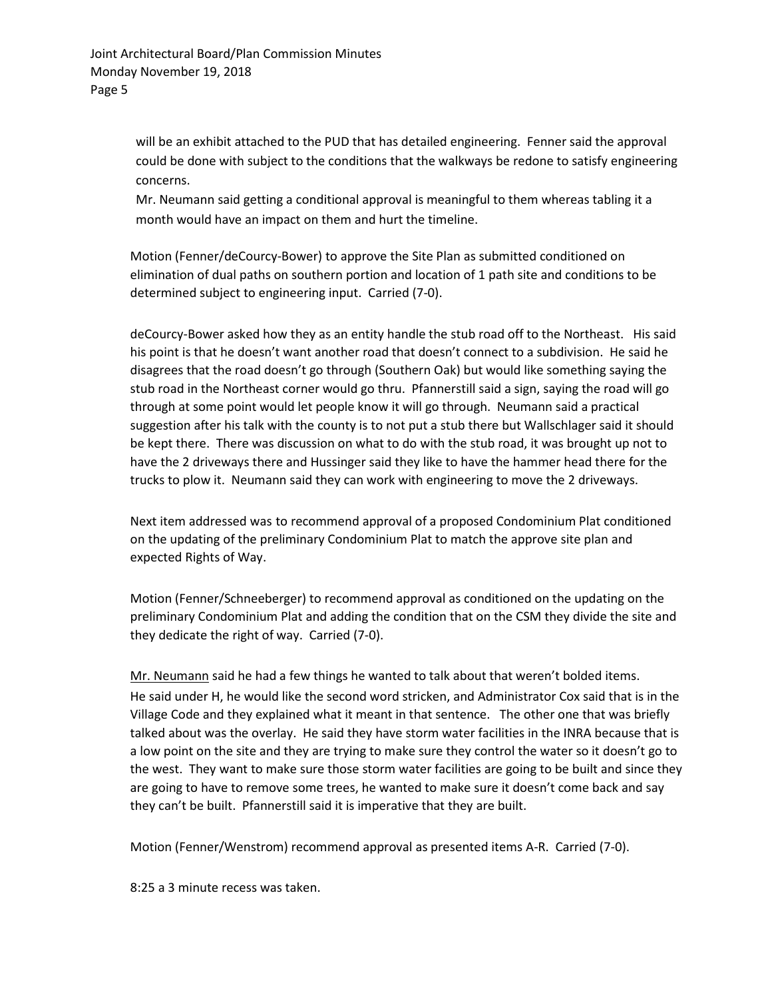will be an exhibit attached to the PUD that has detailed engineering. Fenner said the approval could be done with subject to the conditions that the walkways be redone to satisfy engineering concerns.

Mr. Neumann said getting a conditional approval is meaningful to them whereas tabling it a month would have an impact on them and hurt the timeline.

Motion (Fenner/deCourcy-Bower) to approve the Site Plan as submitted conditioned on elimination of dual paths on southern portion and location of 1 path site and conditions to be determined subject to engineering input. Carried (7-0).

deCourcy-Bower asked how they as an entity handle the stub road off to the Northeast. His said his point is that he doesn't want another road that doesn't connect to a subdivision. He said he disagrees that the road doesn't go through (Southern Oak) but would like something saying the stub road in the Northeast corner would go thru. Pfannerstill said a sign, saying the road will go through at some point would let people know it will go through. Neumann said a practical suggestion after his talk with the county is to not put a stub there but Wallschlager said it should be kept there. There was discussion on what to do with the stub road, it was brought up not to have the 2 driveways there and Hussinger said they like to have the hammer head there for the trucks to plow it. Neumann said they can work with engineering to move the 2 driveways.

Next item addressed was to recommend approval of a proposed Condominium Plat conditioned on the updating of the preliminary Condominium Plat to match the approve site plan and expected Rights of Way.

Motion (Fenner/Schneeberger) to recommend approval as conditioned on the updating on the preliminary Condominium Plat and adding the condition that on the CSM they divide the site and they dedicate the right of way. Carried (7-0).

Mr. Neumann said he had a few things he wanted to talk about that weren't bolded items. He said under H, he would like the second word stricken, and Administrator Cox said that is in the Village Code and they explained what it meant in that sentence. The other one that was briefly talked about was the overlay. He said they have storm water facilities in the INRA because that is a low point on the site and they are trying to make sure they control the water so it doesn't go to the west. They want to make sure those storm water facilities are going to be built and since they are going to have to remove some trees, he wanted to make sure it doesn't come back and say they can't be built. Pfannerstill said it is imperative that they are built.

Motion (Fenner/Wenstrom) recommend approval as presented items A-R. Carried (7-0).

8:25 a 3 minute recess was taken.